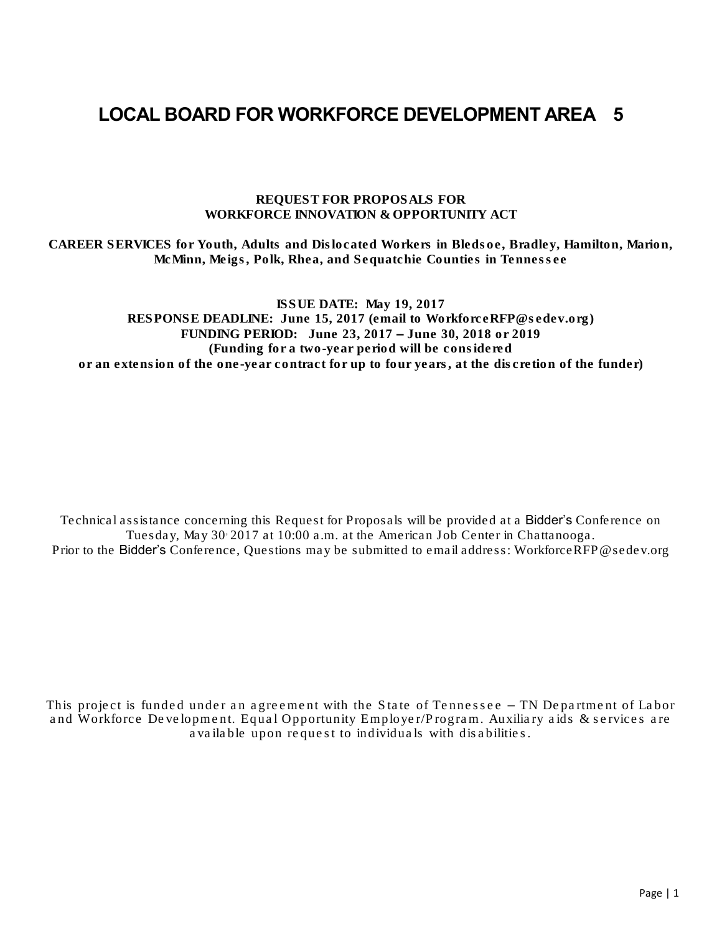# LOCAL BOARD FOR WORKFORCE DEVELOPMENT AREA 5

REQUEST FOR PROPOSALS FOR WORKFORCE INNOVATION & OPPORTUNITY ACT

CAREER SERVICES for Youth, Adults and Dislocated Workers in Bledsoe, Bradley, Hamilton, Marion, McMinn, Meigs, Polk, Rhea, and Sequatchie Counties in Tennessee

ISSUE DATE: May 19, 2017 RESPONSE DEADLINE: June 15, 2017 (email to WorkforceRFP@sedev.org) FUNDING PERIOD: June 23, 2017 – June 30, 2018 or 2019 (Funding for a two-year period will be considered or an extension of the one-year contract for up to four years, at the discretion of the funder)

Technical assistance concerning this Request for Proposals will be provided at a Bidder's Conference on Tuesday, May 30, 2017 at 10:00 a.m. at the American Job Center in Chattanooga. Prior to the Bidder's Conference, Questions may be submitted to email address: WorkforceRFP@sedev.org

This project is funded under an agreement with the State of Tennessee – TN Department of Labor and Workforce Development. Equal Opportunity Employer/Program. Auxiliary aids & services are available upon request to individuals with disabilities.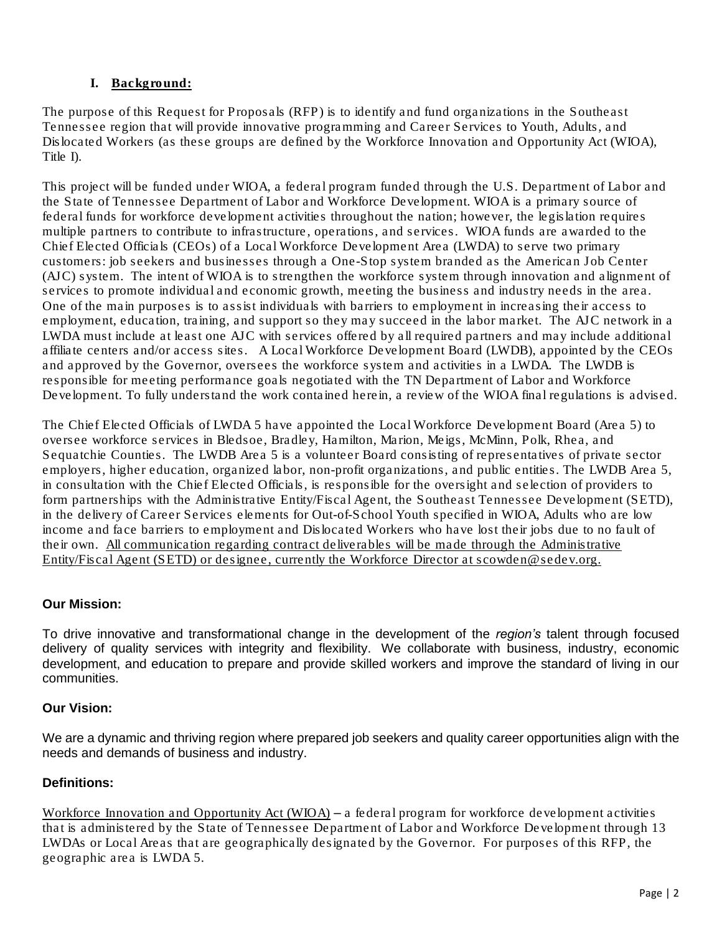# **I.** Background:

The purpose of this Request for Proposals (RFP) is to identify and fund organizations in the Southeast Tennessee region that will provide innovative programming and Career Services to Youth, Adults, and Dislocated Workers (as these groups are defined by the Workforce Innovation and Opportunity Act (WIOA), Title I).

This project will be funded under WIOA, a federal program funded through the U.S. Department of Labor and the State of Tennessee Department of Labor and Workforce Development. WIOA is a primary source of federal funds for workforce development activities throughout the nation; however, the legislation requires multiple partners to contribute to infrastructure, operations, and services. WIOA funds are awarded to the Chief Elected Officials (CEOs) of a Local Workforce Development Area (LWDA) to serve two primary customers: job seekers and businesses through a One-Stop system branded as the American Job Center (AJC) system. The intent of WIOA is to strengthen the workforce system through innovation and alignment of services to promote individual and economic growth, meeting the business and industry needs in the area. One of the main purposes is to assist individuals with barriers to employment in increasing their access to employment, education, training, and support so they may succeed in the labor market. The AJC network in a LWDA must include at least one AJC with services offered by all required partners and may include additional affiliate centers and/or access sites. A Local Workforce Development Board (LWDB), appointed by the CEOs and approved by the Governor, oversees the workforce system and activities in a LWDA. The LWDB is responsible for meeting performance goals negotiated with the TN Department of Labor and Workforce Development. To fully understand the work contained herein, a review of the WIOA final regulations is advised.

The Chief Elected Officials of LWDA 5 have appointed the Local Workforce Development Board (Area 5) to oversee workforce services in Bledsoe, Bradley, Hamilton, Marion, Meigs, McMinn, Polk, Rhea, and Sequatchie Counties. The LWDB Area 5 is a volunteer Board consisting of representatives of private sector employers, higher education, organized labor, non-profit organizations, and public entities. The LWDB Area 5, in consultation with the Chief Elected Officials, is responsible for the oversight and selection of providers to form partnerships with the Administrative Entity/Fiscal Agent, the Southeast Tennessee Development (SETD), in the delivery of Career Services elements for Out-of-School Youth specified in WIOA, Adults who are low income and face barriers to employment and Dislocated Workers who have lost their jobs due to no fault of their own. All communication regarding contract deliverables will be made through the Administrative Entity/Fiscal Agent (SETD) or designee, currently the Workforce Director at [scowden@sedev.org.](mailto:scowden@sedev.org)

# *Our Mission:*

*To drive innovative and transformational change in the development of the region's talent through focused delivery of quality services with integrity and flexibility. We collaborate with business, industry, economic* development, and education to prepare and provide skilled workers and improve the standard of living in our *communities.*

### *Our Vision:*

We are a dynamic and thriving region where prepared job seekers and quality career opportunities align with the *needs and demands of business and industry.*

### *Definitions:*

Workforce Innovation and Opportunity Act (WIOA) – a federal program for workforce development activities that is administered by the State of Tennessee Department of Labor and Workforce Development through 13 LWDAs or Local Areas that are geographically designated by the Governor. For purposes of this RFP, the geographic area is LWDA 5.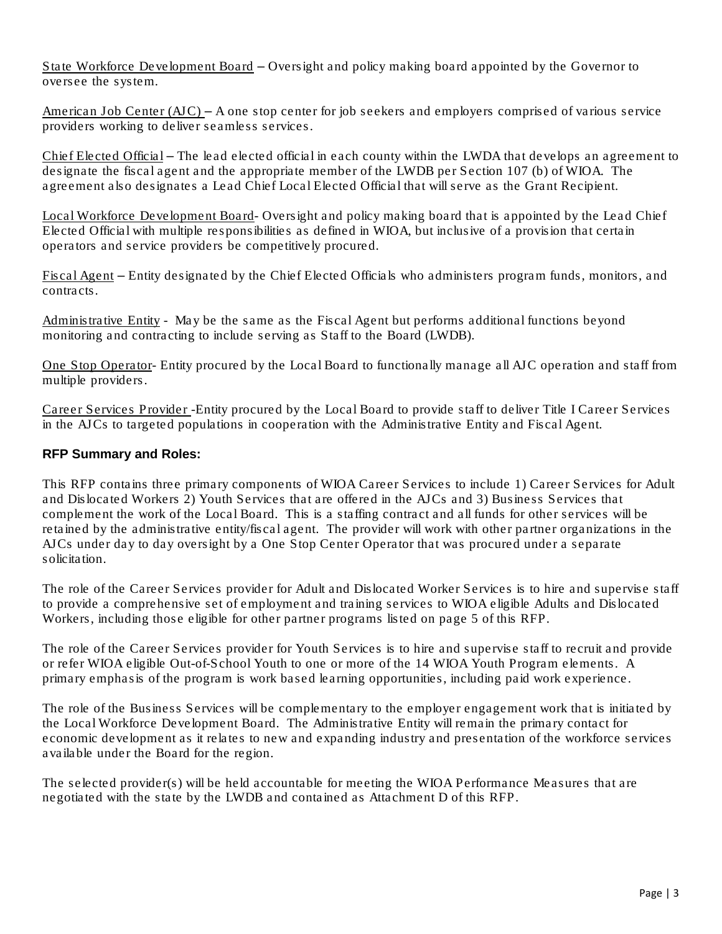State Workforce Development Board – Oversight and policy making board appointed by the Governor to oversee the system.

American Job Center (AJC) – A one stop center for job seekers and employers comprised of various service providers working to deliver seamless services.

Chief Elected Official – The lead elected official in each county within the LWDA that develops an agreement to designate the fiscal agent and the appropriate member of the LWDB per Section 107 (b) of WIOA. The agreement also designates a Lead Chief Local Elected Official that will serve as the Grant Recipient.

Local Workforce Development Board- Oversight and policy making board that is appointed by the Lead Chief Elected Official with multiple responsibilities as defined in WIOA, but inclusive of a provision that certain operators and service providers be competitively procured.

Fiscal Agent – Entity designated by the Chief Elected Officials who administers program funds, monitors, and contracts.

Administrative Entity - May be the same as the Fiscal Agent but performs additional functions beyond monitoring and contracting to include serving as Staff to the Board (LWDB).

One Stop Operator- Entity procured by the Local Board to functionally manage all AJC operation and staff from multiple providers.

Career Services Provider -Entity procured by the Local Board to provide staff to deliver Title I Career Services in the AJCs to targeted populations in cooperation with the Administrative Entity and Fiscal Agent.

### *RFP Summary and Roles:*

This RFP contains three primary components of WIOA Career Services to include 1) Career Services for Adult and Dislocated Workers 2) Youth Services that are offered in the AJCs and 3) Business Services that complement the work of the Local Board. This is a staffing contract and all funds for other services will be retained by the administrative entity/fiscal agent. The provider will work with other partner organizations in the AJCs under day to day oversight by a One Stop Center Operator that was procured under a separate solicitation.

The role of the Career Services provider for Adult and Dislocated Worker Services is to hire and supervise staff to provide a comprehensive set of employment and training services to WIOA eligible Adults and Dislocated Workers, including those eligible for other partner programs listed on page 5 of this RFP.

The role of the Career Services provider for Youth Services is to hire and supervise staff to recruit and provide or refer WIOA eligible Out-of-School Youth to one or more of the 14 WIOA Youth Program elements. A primary emphasis of the program is work based learning opportunities, including paid work experience.

The role of the Business Services will be complementary to the employer engagement work that is initiated by the Local Workforce Development Board. The Administrative Entity will remain the primary contact for economic development as it relates to new and expanding industry and presentation of the workforce services available under the Board for the region.

The selected provider(s) will be held accountable for meeting the WIOA Performance Measures that are negotiated with the state by the LWDB and contained as Attachment D of this RFP.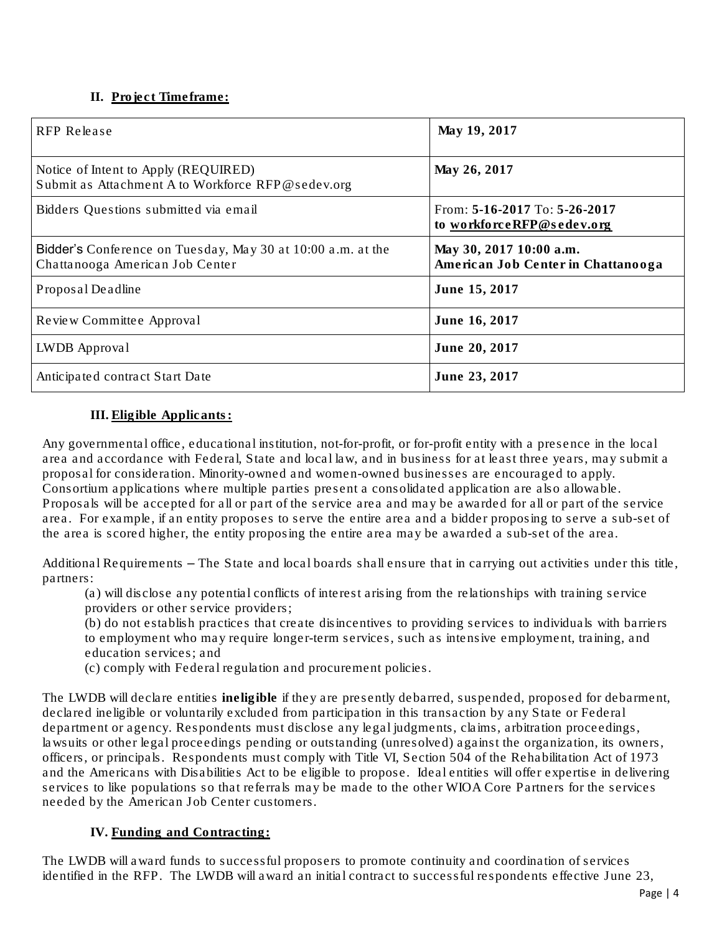# **II.** Project Timeframe:

| RFP Release                                                                                    | May 19, 2017                                                   |
|------------------------------------------------------------------------------------------------|----------------------------------------------------------------|
| Notice of Intent to Apply (REQUIRED)<br>Submit as Attachment A to Workforce RFP@sedev.org      | May 26, 2017                                                   |
| Bidders Questions submitted via email                                                          | From: $5-16-2017$ To: $5-26-2017$<br>to workforceRFP@sedev.org |
| Bidder's Conference on Tuesday, May 30 at 10:00 a.m. at the<br>Chattanooga American Job Center | May 30, 2017 10:00 a.m.<br>American Job Center in Chattanooga  |
| Proposal Deadline                                                                              | June 15, 2017                                                  |
| Review Committee Approval                                                                      | June 16, 2017                                                  |
| LWDB Approval                                                                                  | June 20, 2017                                                  |
| Anticipated contract Start Date                                                                | June 23, 2017                                                  |

# **III.** Eligible Applicants:

Any governmental office, educational institution, not-for-profit, or for-profit entity with a presence in the local area and accordance with Federal, State and local law, and in business for at least three years, may submit a proposal for consideration. Minority-owned and women-owned businesses are encouraged to apply. Consortium applications where multiple parties present a consolidated application are also allowable. Proposals will be accepted for all or part of the service area and may be awarded for all or part of the service area. For example, if an entity proposes to serve the entire area and a bidder proposing to serve a sub-set of the area is scored higher, the entity proposing the entire area may be awarded a sub-set of the area.

Additional Requirements – The State and local boards shall ensure that in carrying out activities under this title, partners:

(a) will disclose any potential conflicts of interest arising from the relationships with training service providers or other service providers;

(b) do not establish practices that create disincentives to providing services to individuals with barriers to employment who may require longer-term services, such as intensive employment, training, and education services; and

(c) comply with Federal regulation and procurement policies.

The LWDB will declare entities ineligible if they are presently debarred, suspended, proposed for debarment, declared ineligible or voluntarily excluded from participation in this transaction by any State or Federal department or agency. Respondents must disclose any legal judgments, claims, arbitration proceedings, lawsuits or other legal proceedings pending or outstanding (unresolved) against the organization, its owners, officers, or principals. Respondents must comply with Title VI, Section 504 of the Rehabilitation Act of 1973 and the Americans with Disabilities Act to be eligible to propose. Ideal entities will offer expertise in delivering services to like populations so that referrals may be made to the other WIOA Core Partners for the services needed by the American Job Center customers.

### **IV.** Funding and Contracting:

The LWDB will award funds to successful proposers to promote continuity and coordination of services identified in the RFP. The LWDB will award an initial contract to successful respondents effective June 23,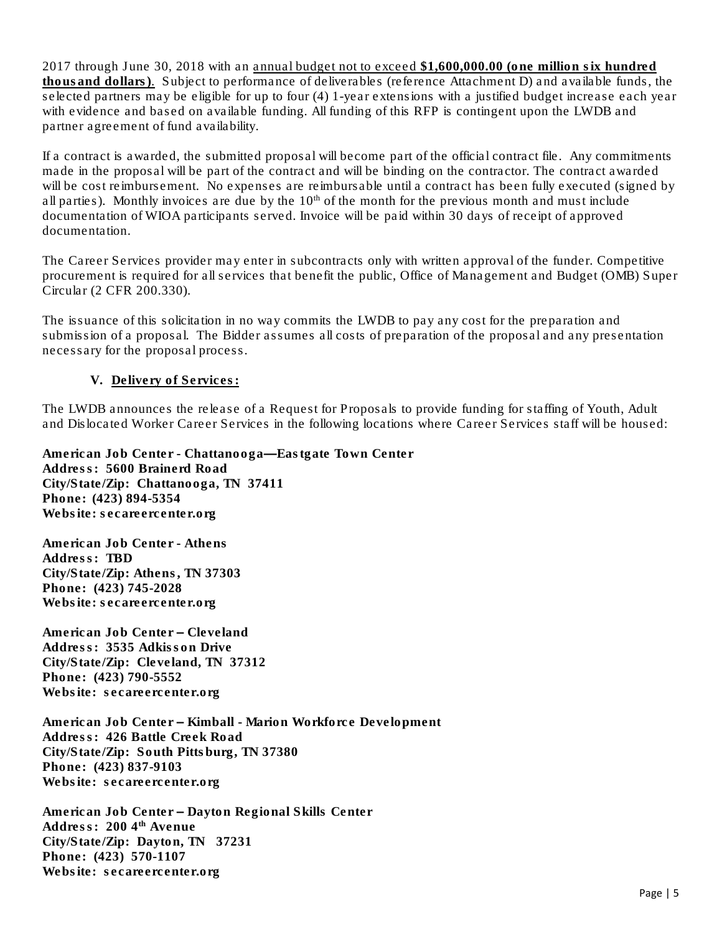2017 through June 30, 2018 with an annual budget not to exceed \$1,600,000.00 (one million six hundred thousand dollars). Subject to performance of deliverables (reference Attachment D) and available funds, the selected partners may be eligible for up to four (4) 1-year extensions with a justified budget increase each year with evidence and based on available funding. All funding of this RFP is contingent upon the LWDB and partner agreement of fund availability.

If a contract is awarded, the submitted proposal will become part of the official contract file. Any commitments made in the proposal will be part of the contract and will be binding on the contractor. The contract awarded will be cost reimbursement. No expenses are reimbursable until a contract has been fully executed (signed by all parties). Monthly invoices are due by the  $10<sup>th</sup>$  of the month for the previous month and must include documentation of WIOA participants served. Invoice will be paid within 30 days of receipt of approved documentation.

The Career Services provider may enter in subcontracts only with written approval of the funder. Competitive procurement is required for all services that benefit the public, Office of Management and Budget (OMB) Super Circular (2 CFR 200.330).

The issuance of this solicitation in no way commits the LWDB to pay any cost for the preparation and submission of a proposal. The Bidder assumes all costs of preparation of the proposal and any presentation necessary for the proposal process.

#### **V.** Delivery of Services:

The LWDB announces the release of a Request for Proposals to provide funding for staffing of Youth, Adult and Dislocated Worker Career Services in the following locations where Career Services staff will be housed:

American Job Center - Chattanooga—Eastgate Town Center Address: 5600 Brainerd Road City/State/Zip: Chattanooga, TN 37411 Phone: (423) 894-5354 Website: secareercenter.org

American Job Center - Athens Address: TBD City/State/Zip: Athens, TN 37303 Phone: (423) 745-2028 Website: secareercenter.org

American Job Center – Cleveland Address: 3535 Adkisson Drive City/State/Zip: Cleveland, TN 37312 Phone: (423) 790-5552 Website: secareercenter.org

American Job Center – Kimball - Marion Workforce Development Address: 426 Battle Creek Road City/State/Zip: South Pittsburg, TN 37380 Phone: (423) 837-9103 Website: secareercenter.org

American Job Center – Dayton Regional Skills Center Address: 2004<sup>th</sup> Avenue City/State/Zip: Dayton, TN 37231 Phone: (423) 570-1107 Website: secareercenter.org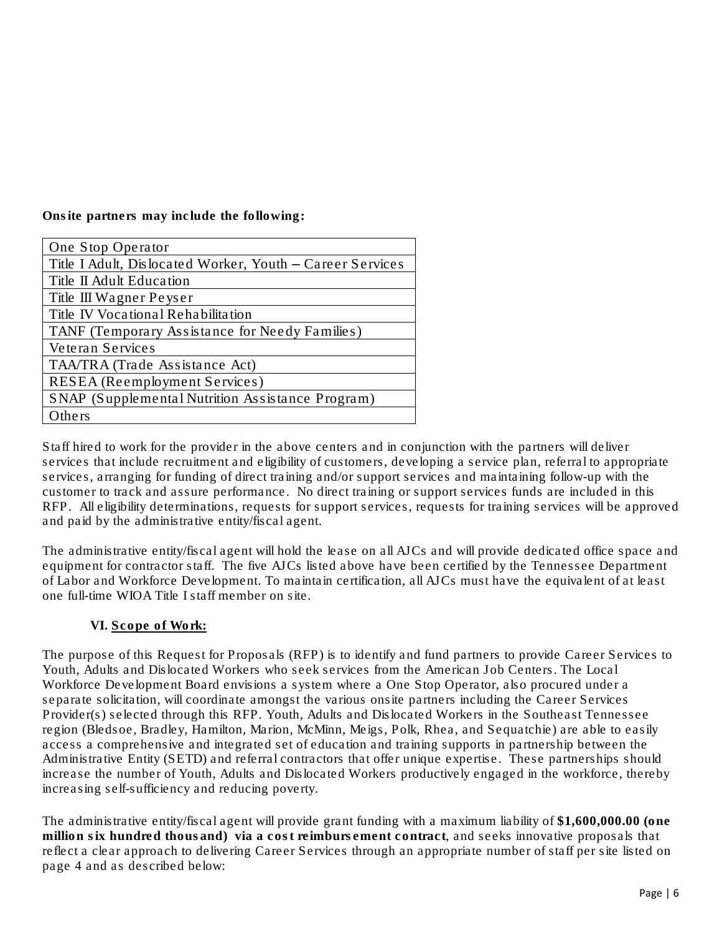Onsite partners may include the following:

| One Stop Operator                                         |  |  |  |
|-----------------------------------------------------------|--|--|--|
| Title I Adult, Dislocated Worker, Youth - Career Services |  |  |  |
| Title II Adult Education                                  |  |  |  |
| Title III Wagner Peyser                                   |  |  |  |
| Title IV Vocational Rehabilitation                        |  |  |  |
| TANF (Temporary Assistance for Needy Families)            |  |  |  |
| Veteran Services                                          |  |  |  |
| TAA/TRA (Trade Assistance Act)                            |  |  |  |
| <b>RESEA</b> (Reemployment Services)                      |  |  |  |
| SNAP (Supplemental Nutrition Assistance Program)          |  |  |  |
| Others                                                    |  |  |  |

Staff hired to work for the provider in the above centers and in conjunction with the partners will deliver services that include recruitment and eligibility of customers, developing a service plan, referral to appropriate services, arranging for funding of direct training and/or support services and maintaining follow-up with the customer to track and assure performance. No direct training or support services funds are included in this RFP. All eligibility determinations, requests for support services, requests for training services will be approved and paid by the administrative entity/fiscal agent.

The administrative entity/fiscal agent will hold the lease on all AJCs and will provide dedicated office space and equipment for contractor staff. The five AJCs listed above have been certified by the Tennessee Department of Labor and Workforce Development. To maintain certification, all AJCs must have the equivalent of at least one full-time WIOA Title I staff member on site.

# **VI.** Scope of Work:

The purpose of this Request for Proposals (RFP) is to identify and fund partners to provide Career Services to Youth, Adults and Dislocated Workers who seek services from the American Job Centers. The Local Workforce Development Board envisions a system where a One Stop Operator, also procured under a separate solicitation, will coordinate amongst the various onsite partners including the Career Services Provider(s) selected through this RFP. Youth, Adults and Dislocated Workers in the Southeast Tennessee region (Bledsoe, Bradley, Hamilton, Marion, McMinn, Meigs, Polk, Rhea, and Sequatchie) are able to easily access a comprehensive and integrated set of education and training supports in partnership between the Administrative Entity (SETD) and referral contractors that offer unique expertise. These partnerships should increase the number of Youth, Adults and Dislocated Workers productively engaged in the workforce, thereby increasing self-sufficiency and reducing poverty.

The administrative entity/fiscal agent will provide grant funding with a maximum liability of \$1,600,000.00 (one million six hundred thousand) via a cost reimbursement contract, and seeks innovative proposals that reflect a clear approach to delivering Career Services through an appropriate number of staff per site listed on page 4 and as described below: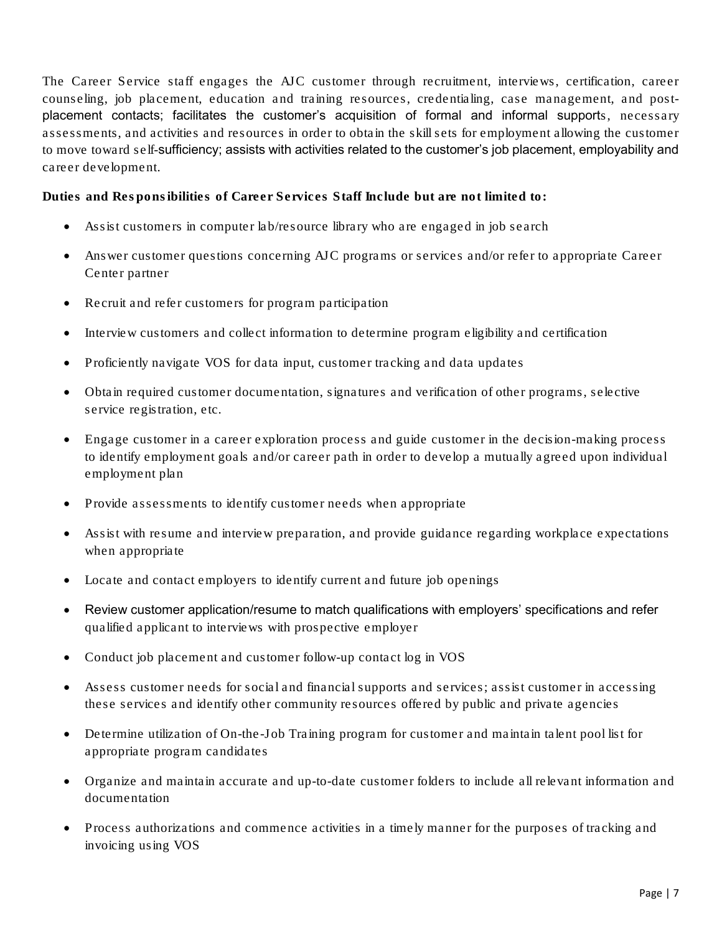The Career Service staff engages the AJC customer through recruitment, interviews, certification, career counseling, job placement, education and training resources, credentialing, case management, and postplacement contacts; facilitates the customer's acquisition of formal and informal supports, necessary assessments, and activities and resources in order to obtain the skill sets for employment allowing the customer to move toward self-sufficiency; assists with activities related to the customer's job placement, employability and career development.

Duties and Responsibilities of Career Services Staff Include but are not limited to:

- Assist customers in computer lab/resource library who are engaged in job search
- Answer customer questions concerning AJC programs or services and/or refer to appropriate Career Center partner
- Recruit and refer customers for program participation
- Interview customers and collect information to determine program eligibility and certification
- Proficiently navigate VOS for data input, customer tracking and data updates
- Obtain required customer documentation, signatures and verification of other programs, selective service registration, etc.
- Engage customer in a career exploration process and guide customer in the decision-making process to identify employment goals and/or career path in order to develop a mutually agreed upon individual employment plan
- Provide assessments to identify customer needs when appropriate
- Assist with resume and interview preparation, and provide guidance regarding workplace expectations when appropriate
- Locate and contact employers to identify current and future job openings
- Review customer application/resume to match qualifications with employers' specifications and refer qualified applicant to interviews with prospective employer
- Conduct job placement and customer follow-up contact log in VOS
- Assess customer needs for social and financial supports and services; assist customer in accessing these services and identify other community resources offered by public and private agencies
- Determine utilization of On-the-Job Training program for customer and maintain talent pool list for appropriate program candidates
- Organize and maintain accurate and up-to-date customer folders to include all relevant information and documentation
- Process authorizations and commence activities in a timely manner for the purposes of tracking and invoicing using VOS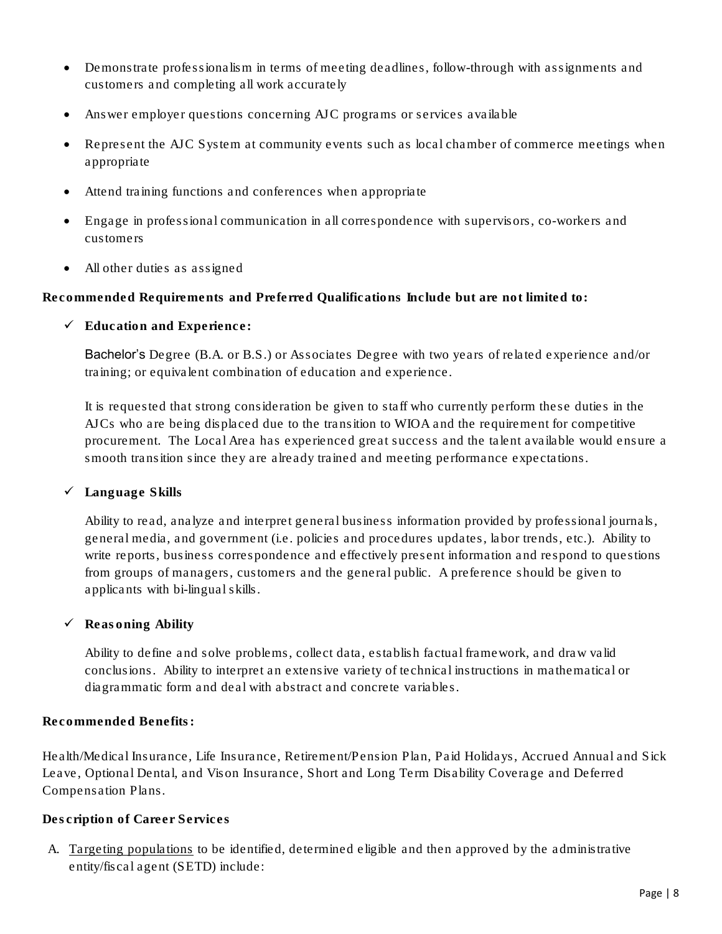- Demonstrate professionalism in terms of meeting deadlines, follow-through with assignments and customers and completing all work accurately
- Answer employer questions concerning AJC programs or services available
- Represent the AJC System at community events such as local chamber of commerce meetings when appropriate
- Attend training functions and conferences when appropriate
- Engage in professional communication in all correspondence with supervisors, co-workers and customers
- All other duties as assigned

Recommended Requirements and Preferred Qualifications Include but are not limited to:

✓ Education and Experience:

Bachelor's Degree (B.A. or B.S.) or Associates Degree with two years of related experience and/or training; or equivalent combination of education and experience.

It is requested that strong consideration be given to staff who currently perform these duties in the AJCs who are being displaced due to the transition to WIOA and the requirement for competitive procurement. The Local Area has experienced great success and the talent available would ensure a smooth transition since they are already trained and meeting performance expectations.

✓ Language Skills

Ability to read, analyze and interpret general business information provided by professional journals, general media, and government (i.e. policies and procedures updates, labor trends, etc.). Ability to write reports, business correspondence and effectively present information and respond to questions from groups of managers, customers and the general public. A preference should be given to applicants with bi-lingual skills.

 $\checkmark$  Reasoning Ability

Ability to define and solve problems, collect data, establish factual framework, and draw valid conclusions. Ability to interpret an extensive variety of technical instructions in mathematical or diagrammatic form and deal with abstract and concrete variables.

Recommended Benefits:

Health/Medical Insurance, Life Insurance, Retirement/Pension Plan, Paid Holidays, Accrued Annual and Sick Leave, Optional Dental, and Vison Insurance, Short and Long Term Disability Coverage and Deferred Compensation Plans.

### Description of Career Services

A. Targeting populations to be identified, determined eligible and then approved by the administrative entity/fiscal agent (SETD) include: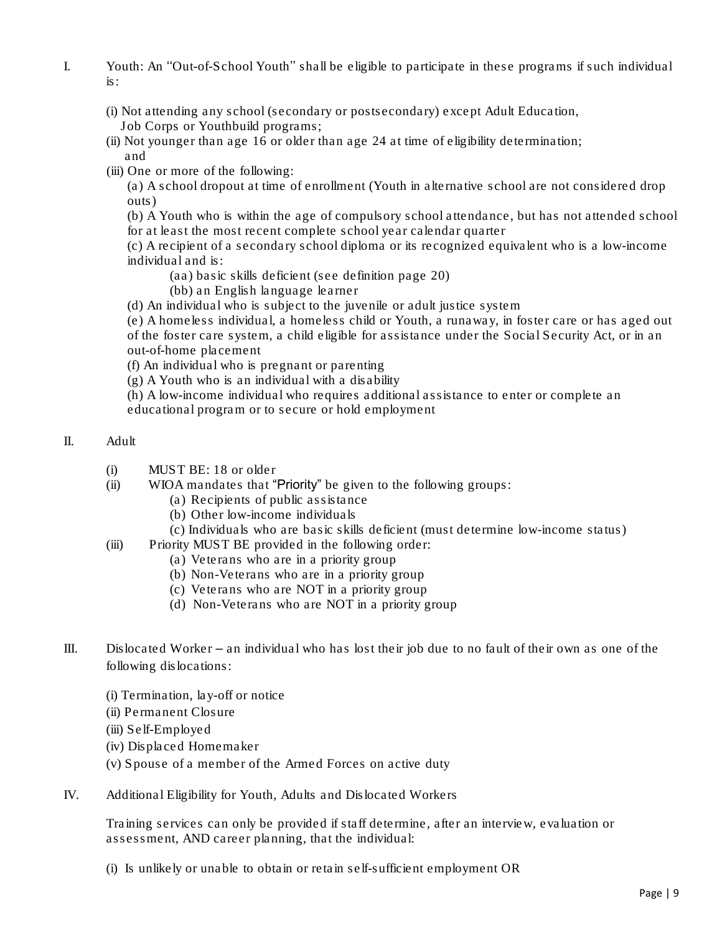- I. Youth: An ''Out-of-School Youth'' shall be eligible to participate in these programs if such individual is:
	- (i) Not attending any school (secondary or postsecondary) except Adult Education, Job Corps or Youthbuild programs;
	- (ii) Not younger than age 16 or older than age 24 at time of eligibility determination; and
	- (iii) One or more of the following:

(a) A school dropout at time of enrollment (Youth in alternative school are not considered drop outs)

(b) A Youth who is within the age of compulsory school attendance, but has not attended school for at least the most recent complete school year calendar quarter

(c) A recipient of a secondary school diploma or its recognized equivalent who is a low-income individual and is:

- (aa) basic skills deficient (see definition page 20)
- (bb) an English language learner
- (d) An individual who is subject to the juvenile or adult justice system

(e) A homeless individual, a homeless child or Youth, a runaway, in foster care or has aged out of the foster care system, a child eligible for assistance under the Social Security Act, or in an out-of-home placement

(f) An individual who is pregnant or parenting

(g) A Youth who is an individual with a disability

(h) A low-income individual who requires additional assistance to enter or complete an educational program or to secure or hold employment

- II. Adult
	- (i) MUST BE: 18 or older
	- (ii) WIOA mandates that "Priority" be given to the following groups:
		- (a) Recipients of public assistance
		- (b) Other low-income individuals
		- (c) Individuals who are basic skills deficient (must determine low-income status)
	- (iii) Priority MUST BE provided in the following order:
		- (a) Veterans who are in a priority group
		- (b) Non-Veterans who are in a priority group
		- (c) Veterans who are NOT in a priority group
		- (d) Non-Veterans who are NOT in a priority group
- III. Dislocated Worker an individual who has lost their job due to no fault of their own as one of the following dislocations:
	- (i) Termination, lay-off or notice
	- (ii) Permanent Closure
	- (iii) Self-Employed
	- (iv) Displaced Homemaker
	- (v) Spouse of a member of the Armed Forces on active duty
- IV. Additional Eligibility for Youth, Adults and Dislocated Workers

Training services can only be provided if staff determine, after an interview, evaluation or assessment, AND career planning, that the individual:

(i) Is unlikely or unable to obtain or retain self-sufficient employment OR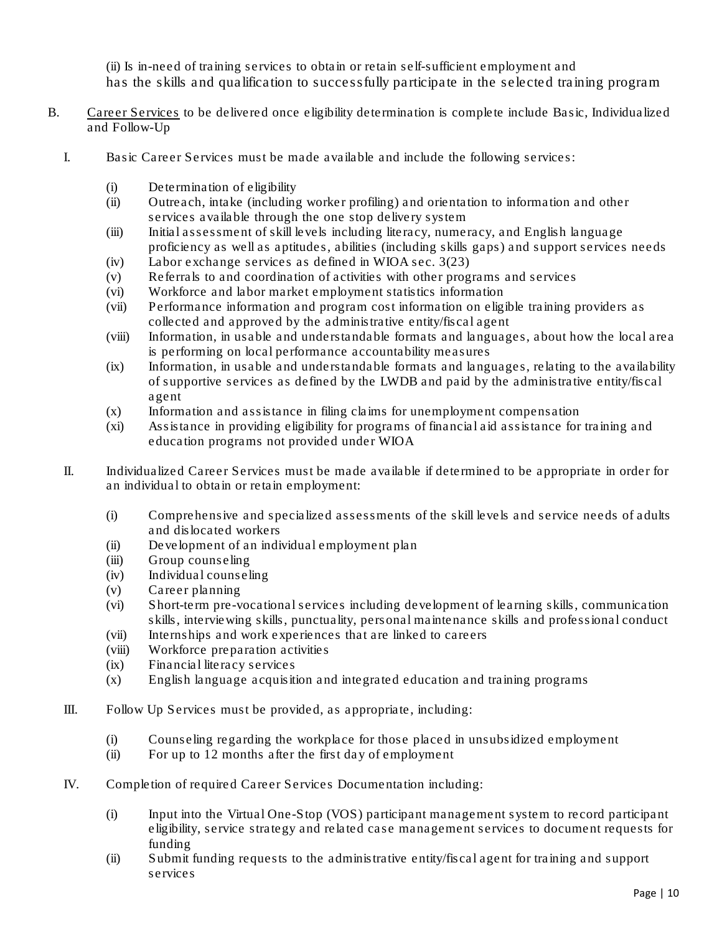(ii) Is in-need of training services to obtain or retain self-sufficient employment and has the skills and qualification to successfully participate in the selected training program

- B. Career Services to be delivered once eligibility determination is complete include Basic, Individualized and Follow-Up
	- I. Basic Career Services must be made available and include the following services:
		- (i) Determination of eligibility
		- (ii) Outreach, intake (including worker profiling) and orientation to information and other services available through the one stop delivery system
		- (iii) Initial assessment of skill levels including literacy, numeracy, and English language proficiency as well as aptitudes, abilities (including skills gaps) and support services needs
		- (iv) Labor exchange services as defined in WIOA sec. 3(23)
		- (v) Referrals to and coordination of activities with other programs and services
		- (vi) Workforce and labor market employment statistics information
		- (vii) Performance information and program cost information on eligible training providers as collected and approved by the administrative entity/fiscal agent
		- (viii) Information, in usable and understandable formats and languages, about how the local area is performing on local performance accountability measures
		- (ix) Information, in usable and understandable formats and languages, relating to the availability of supportive services as defined by the LWDB and paid by the administrative entity/fiscal agent
		- (x) Information and assistance in filing claims for unemployment compensation
		- (xi) Assistance in providing eligibility for programs of financial aid assistance for training and education programs not provided under WIOA
	- II. Individualized Career Services must be made available if determined to be appropriate in order for an individual to obtain or retain employment:
		- (i) Comprehensive and specialized assessments of the skill levels and service needs of adults and dislocated workers
		- (ii) Development of an individual employment plan
		- (iii) Group counseling
		- (iv) Individual counseling
		- (v) Career planning
		- (vi) Short-term pre-vocational services including development of learning skills, communication skills, interviewing skills, punctuality, personal maintenance skills and professional conduct
		- (vii) Internships and work experiences that are linked to careers
		- (viii) Workforce preparation activities
		- (ix) Financial literacy services
		- (x) English language acquisition and integrated education and training programs
	- III. Follow Up Services must be provided, as appropriate, including:
		- (i) Counseling regarding the workplace for those placed in unsubsidized employment
		- (ii) For up to 12 months after the first day of employment
	- IV. Completion of required Career Services Documentation including:
		- (i) Input into the Virtual One-Stop (VOS) participant management system to record participant eligibility, service strategy and related case management services to document requests for funding
		- (ii) Submit funding requests to the administrative entity/fiscal agent for training and support services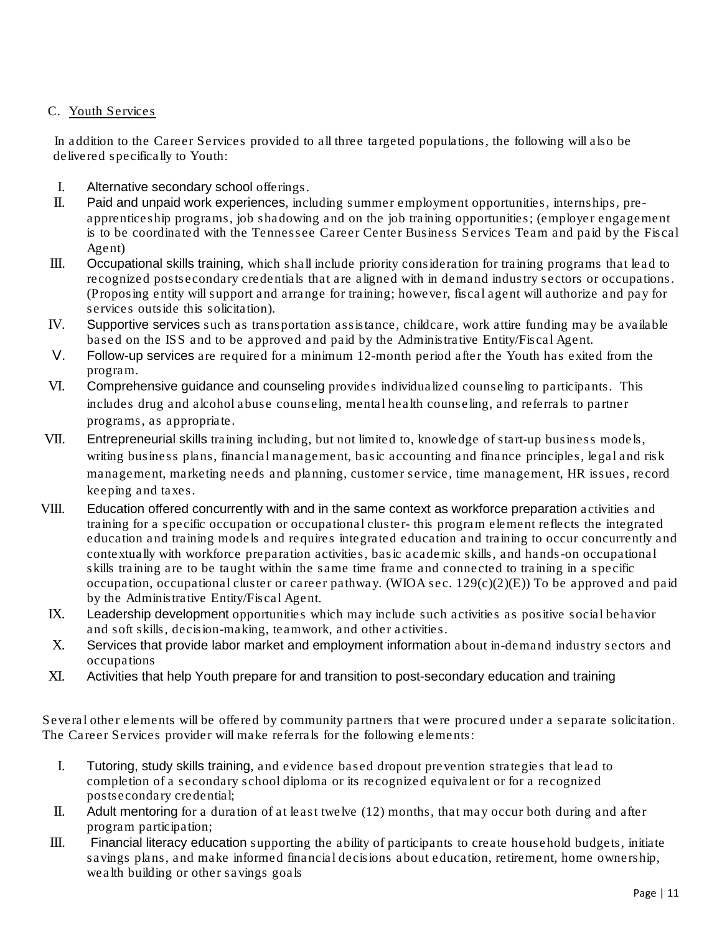## C. Youth Services

 In addition to the Career Services provided to all three targeted populations, the following will also be delivered specifically to Youth:

- I. *Alternative secondary school* offerings.
- II. *Paid and unpaid work experiences*, including summer employment opportunities, internships, preapprenticeship programs, job shadowing and on the job training opportunities; (employer engagement is to be coordinated with the Tennessee Career Center Business Services Team and paid by the Fiscal Agent)
- III. *Occupational skills training*, which shall include priority consideration for training programs that lead to recognized postsecondary credentials that are aligned with in demand industry sectors or occupations. (Proposing entity will support and arrange for training; however, fiscal agent will authorize and pay for services outside this solicitation).
- IV. *Supportive services* such as transportation assistance, childcare, work attire funding may be available based on the ISS and to be approved and paid by the Administrative Entity/Fiscal Agent.
- *V. Follow-up services* are required for a minimum 12-month period after the Youth has exited from the program.
- VI. *Comprehensive guidance and counseling* provides individualized counseling to participants. This includes drug and alcohol abuse counseling, mental health counseling, and referrals to partner programs, as appropriate.
- VII. *Entrepreneurial skills* training including, but not limited to, knowledge of start-up business models, writing business plans, financial management, basic accounting and finance principles, legal and risk management, marketing needs and planning, customer service, time management, HR issues, record keeping and taxes.
- VIII. *Education offered concurrently with and in the same context as workforce preparation* activities and training for a specific occupation or occupational cluster- this program element reflects the integrated education and training models and requires integrated education and training to occur concurrently and contextually with workforce preparation activities, basic academic skills, and hands-on occupational skills training are to be taught within the same time frame and connected to training in a specific occupation, occupational cluster or career pathway. (WIOA sec. 129(c)(2)(E)) To be approved and paid by the Administrative Entity/Fiscal Agent.
- IX. *Leadership development* opportunities which may include such activities as positive social behavior and soft skills, decision-making, teamwork, and other activities.
- X. *Services that provide labor market and employment information* about in-demand industry sectors and occupations
- XI. *Activities that help Youth prepare for and transition to post-secondary education and training*

Several other elements will be offered by community partners that were procured under a separate solicitation. The Career Services provider will make referrals for the following elements:

- I. *Tutoring, study skills training*, and evidence based dropout prevention strategies that lead to completion of a secondary school diploma or its recognized equivalent or for a recognized postsecondary credential;
- II. *Adult mentoring* for a duration of at least twelve (12) months, that may occur both during and after program participation;
- III. *Financial literacy education* supporting the ability of participants to create household budgets, initiate savings plans, and make informed financial decisions about education, retirement, home ownership, wealth building or other savings goals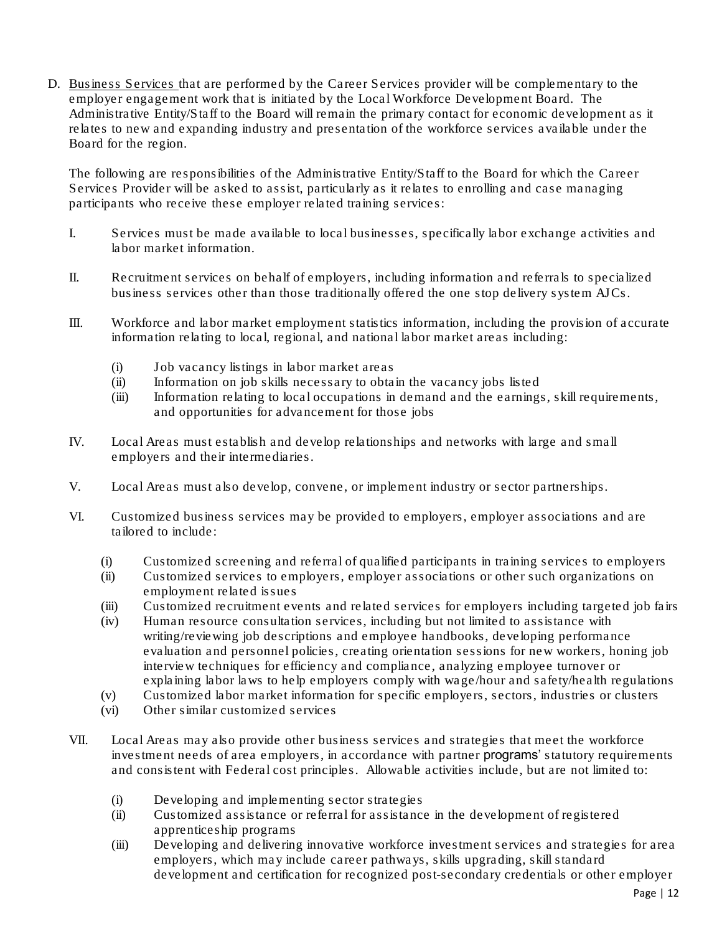D. Business Services that are performed by the Career Services provider will be complementary to the employer engagement work that is initiated by the Local Workforce Development Board. The Administrative Entity/Staff to the Board will remain the primary contact for economic development as it relates to new and expanding industry and presentation of the workforce services available under the Board for the region.

The following are responsibilities of the Administrative Entity/Staff to the Board for which the Career Services Provider will be asked to assist, particularly as it relates to enrolling and case managing participants who receive these employer related training services:

- I. Services must be made available to local businesses, specifically labor exchange activities and labor market information.
- II. Recruitment services on behalf of employers, including information and referrals to specialized business services other than those traditionally offered the one stop delivery system AJCs.
- III. Workforce and labor market employment statistics information, including the provision of accurate information relating to local, regional, and national labor market areas including:
	- (i) Job vacancy listings in labor market areas
	- (ii) Information on job skills necessary to obtain the vacancy jobs listed
	- (iii) Information relating to local occupations in demand and the earnings, skill requirements, and opportunities for advancement for those jobs
- IV. Local Areas must establish and develop relationships and networks with large and small employers and their intermediaries.
- V. Local Areas must also develop, convene, or implement industry or sector partnerships.
- VI. Customized business services may be provided to employers, employer associations and are tailored to include:
	- (i) Customized screening and referral of qualified participants in training services to employers
	- (ii) Customized services to employers, employer associations or other such organizations on employment related issues
	- (iii) Customized recruitment events and related services for employers including targeted job fairs
	- (iv) Human resource consultation services, including but not limited to assistance with writing/reviewing job descriptions and employee handbooks, developing performance evaluation and personnel policies, creating orientation sessions for new workers, honing job interview techniques for efficiency and compliance, analyzing employee turnover or explaining labor laws to help employers comply with wage/hour and safety/health regulations
	- (v) Customized labor market information for specific employers, sectors, industries or clusters
	- (vi) Other similar customized services
- VII. Local Areas may also provide other business services and strategies that meet the workforce investment needs of area employers, in accordance with partner programs' statutory requirements and consistent with Federal cost principles. Allowable activities include, but are not limited to:
	- (i) Developing and implementing sector strategies
	- (ii) Customized assistance or referral for assistance in the development of registered apprenticeship programs
	- (iii) Developing and delivering innovative workforce investment services and strategies for area employers, which may include career pathways, skills upgrading, skill standard development and certification for recognized post-secondary credentials or other employer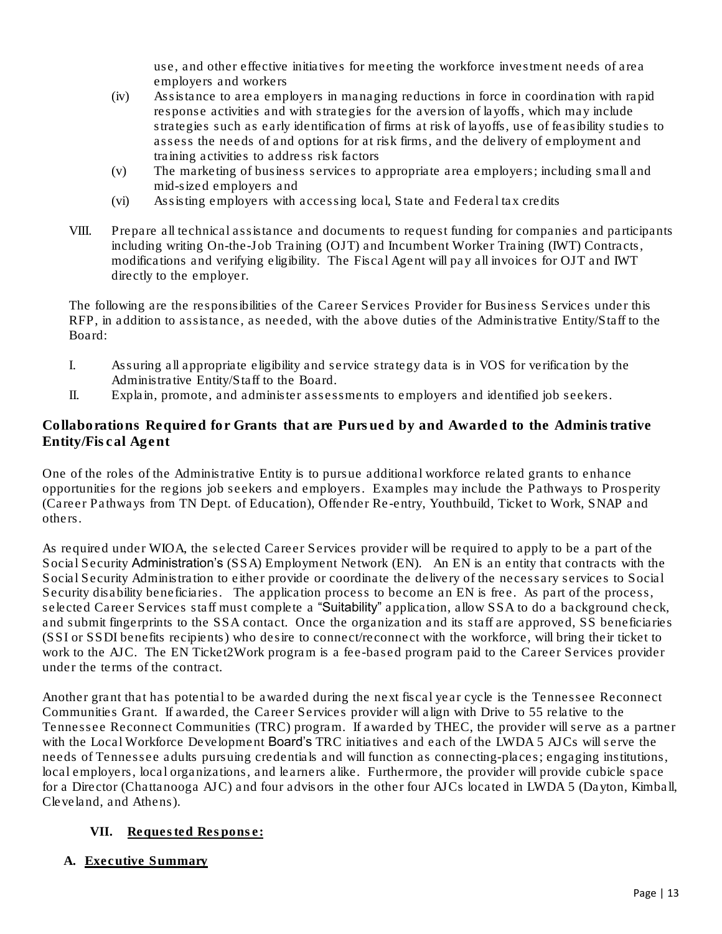use, and other effective initiatives for meeting the workforce investment needs of area employers and workers

- (iv) Assistance to area employers in managing reductions in force in coordination with rapid response activities and with strategies for the aversion of layoffs, which may include strategies such as early identification of firms at risk of layoffs, use of feasibility studies to assess the needs of and options for at risk firms, and the delivery of employment and training activities to address risk factors
- (v) The marketing of business services to appropriate area employers; including small and mid-sized employers and
- (vi) Assisting employers with accessing local, State and Federal tax credits
- VIII. Prepare all technical assistance and documents to request funding for companies and participants including writing On-the-Job Training (OJT) and Incumbent Worker Training (IWT) Contracts, modifications and verifying eligibility. The Fiscal Agent will pay all invoices for OJT and IWT directly to the employer.

The following are the responsibilities of the Career Services Provider for Business Services under this RFP, in addition to assistance, as needed, with the above duties of the Administrative Entity/Staff to the Board:

- I. Assuring all appropriate eligibility and service strategy data is in VOS for verification by the Administrative Entity/Staff to the Board.
- II. Explain, promote, and administer assessments to employers and identified job seekers.

Collaborations Required for Grants that are Pursued by and Awarded to the Administrative Entity/Fiscal Agent

One of the roles of the Administrative Entity is to pursue additional workforce related grants to enhance opportunities for the regions job seekers and employers. Examples may include the Pathways to Prosperity (Career Pathways from TN Dept. of Education), Offender Re-entry, Youthbuild, Ticket to Work, SNAP and others.

As required under WIOA, the selected Career Services provider will be required to apply to be a part of the Social Security Administration's (SSA) Employment Network (EN). An EN is an entity that contracts with the Social Security Administration to either provide or coordinate the delivery of the necessary services to Social Security disability beneficiaries. The application process to become an EN is free. As part of the process, selected Career Services staff must complete a "Suitability" application, allow SSA to do a background check, and submit fingerprints to the SSA contact. Once the organization and its staff are approved, SS beneficiaries (SSI or SSDI benefits recipients) who desire to connect/reconnect with the workforce, will bring their ticket to work to the AJC. The EN Ticket2Work program is a fee-based program paid to the Career Services provider under the terms of the contract.

Another grant that has potential to be awarded during the next fiscal year cycle is the Tennessee Reconnect Communities Grant. If awarded, the Career Services provider will align with Drive to 55 relative to the Tennessee Reconnect Communities (TRC) program. If awarded by THEC, the provider will serve as a partner with the Local Workforce Development Board's TRC initiatives and each of the LWDA 5 AJCs will serve the needs of Tennessee adults pursuing credentials and will function as connecting-places; engaging institutions, local employers, local organizations, and learners alike. Furthermore, the provider will provide cubicle space for a Director (Chattanooga AJC) and four advisors in the other four AJCs located in LWDA 5 (Dayton, Kimball, Cleveland, and Athens).

### **VII.** Requested Response:

A. Executive Summary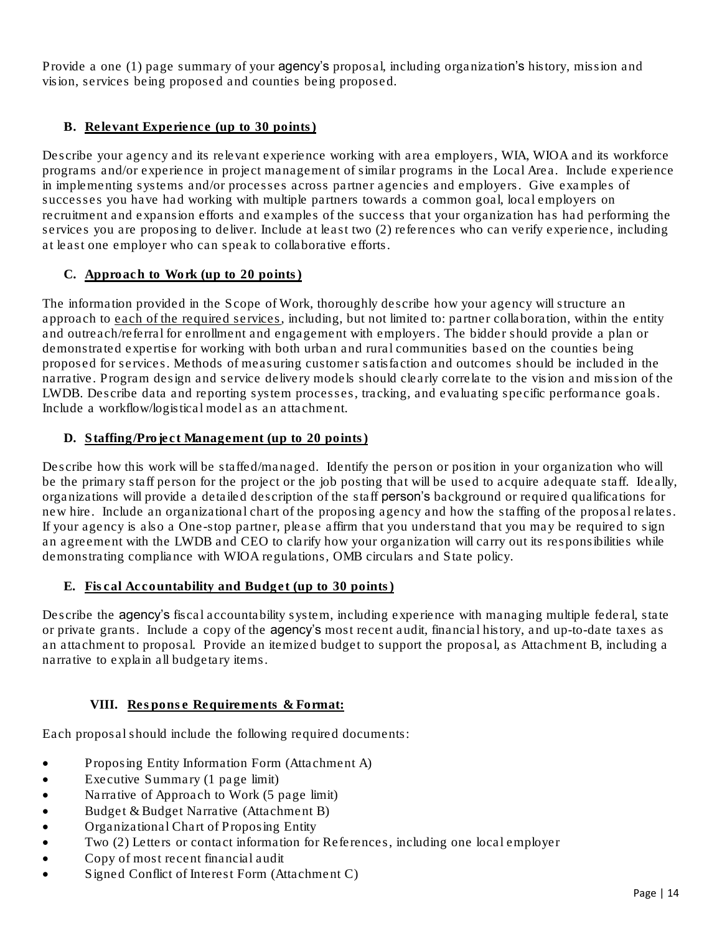Provide a one (1) page summary of your agency's proposal, including organization's history, mission and vision, services being proposed and counties being proposed.

# B. Relevant Experience (up to 30 points)

Describe your agency and its relevant experience working with area employers, WIA, WIOA and its workforce programs and/or experience in project management of similar programs in the Local Area. Include experience in implementing systems and/or processes across partner agencies and employers. Give examples of successes you have had working with multiple partners towards a common goal, local employers on recruitment and expansion efforts and examples of the success that your organization has had performing the services you are proposing to deliver. Include at least two (2) references who can verify experience, including at least one employer who can speak to collaborative efforts.

# C. Approach to Work (up to 20 points)

The information provided in the Scope of Work, thoroughly describe how your agency will structure an approach to each of the required services, including, but not limited to: partner collaboration, within the entity and outreach/referral for enrollment and engagement with employers. The bidder should provide a plan or demonstrated expertise for working with both urban and rural communities based on the counties being proposed for services. Methods of measuring customer satisfaction and outcomes should be included in the narrative. Program design and service delivery models should clearly correlate to the vision and mission of the LWDB. Describe data and reporting system processes, tracking, and evaluating specific performance goals. Include a workflow/logistical model as an attachment.

# D. Staffing/Project Management (up to 20 points)

Describe how this work will be staffed/managed. Identify the person or position in your organization who will be the primary staff person for the project or the job posting that will be used to acquire adequate staff. Ideally, organizations will provide a detailed description of the staff person's background or required qualifications for new hire. Include an organizational chart of the proposing agency and how the staffing of the proposal relates. If your agency is also a One-stop partner, please affirm that you understand that you may be required to sign an agreement with the LWDB and CEO to clarify how your organization will carry out its responsibilities while demonstrating compliance with WIOA regulations, OMB circulars and State policy.

### E. Fiscal Accountability and Budget (up to 30 points)

Describe the agency's fiscal accountability system, including experience with managing multiple federal, state or private grants. Include a copy of the agency's most recent audit, financial history, and up-to-date taxes as an attachment to proposal. Provide an itemized budget to support the proposal, as Attachment B, including a narrative to explain all budgetary items.

### **VIII.** Response Requirements & Format:

Each proposal should include the following required documents:

- Proposing Entity Information Form (Attachment A)
- Executive Summary (1 page limit)
- Narrative of Approach to Work (5 page limit)
- Budget & Budget Narrative (Attachment B)
- Organizational Chart of Proposing Entity
- Two (2) Letters or contact information for References, including one local employer
- Copy of most recent financial audit
- Signed Conflict of Interest Form (Attachment C)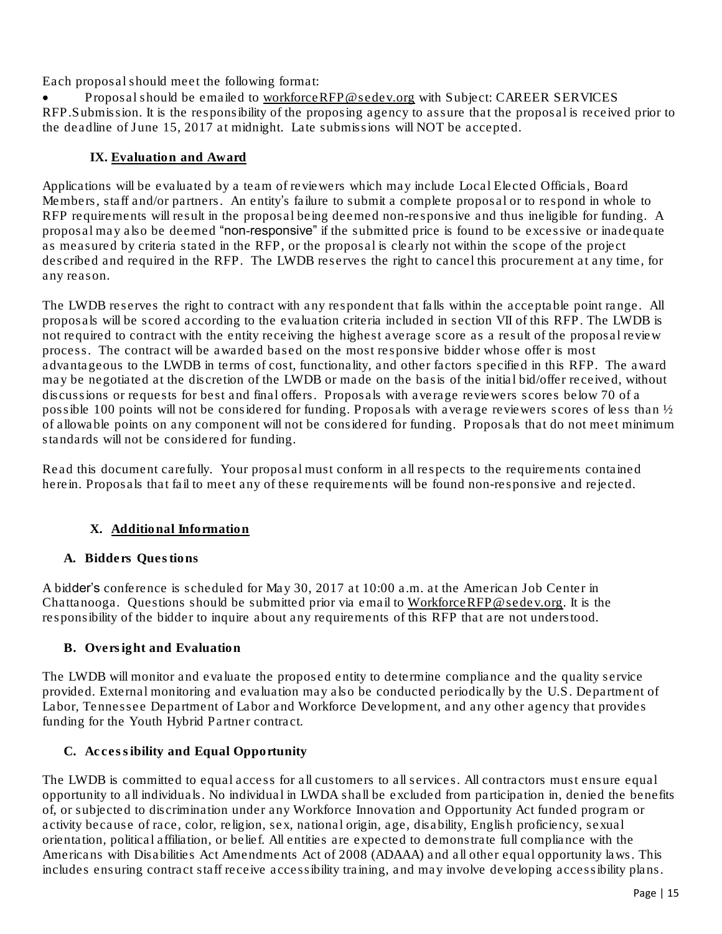Each proposal should meet the following format:

Proposal should be emailed to [workforceRFP@sedev.org](mailto:scowden@sedev.org) with Subject: CAREER SERVICES RFP.Submission. It is the responsibility of the proposing agency to assure that the proposal is received prior to the deadline of June 15, 2017 at midnight. Late submissions will NOT be accepted.

# **IX.** Evaluation and Award

Applications will be evaluated by a team of reviewers which may include Local Elected Officials, Board Members, staff and/or partners. An entity's failure to submit a complete proposal or to respond in whole to RFP requirements will result in the proposal being deemed non-responsive and thus ineligible for funding. A proposal may also be deemed "non-responsive" if the submitted price is found to be excessive or inadequate as measured by criteria stated in the RFP, or the proposal is clearly not within the scope of the project described and required in the RFP. The LWDB reserves the right to cancel this procurement at any time, for any reason.

The LWDB reserves the right to contract with any respondent that falls within the acceptable point range. All proposals will be scored according to the evaluation criteria included in section VII of this RFP. The LWDB is not required to contract with the entity receiving the highest average score as a result of the proposal review process. The contract will be awarded based on the most responsive bidder whose offer is most advantageous to the LWDB in terms of cost, functionality, and other factors specified in this RFP. The award may be negotiated at the discretion of the LWDB or made on the basis of the initial bid/offer received, without discussions or requests for best and final offers. Proposals with average reviewers scores below 70 of a possible 100 points will not be considered for funding. Proposals with average reviewers scores of less than ½ of allowable points on any component will not be considered for funding. Proposals that do not meet minimum standards will not be considered for funding.

Read this document carefully. Your proposal must conform in all respects to the requirements contained herein. Proposals that fail to meet any of these requirements will be found non-responsive and rejected.

# **X.** Additional Information

### A. Bidders Questions

A bidder's conference is scheduled for May 30, 2017 at 10:00 a.m. at the American Job Center in Chattanooga. Questions should be submitted prior via email to [WorkforceRFP@sedev.org.](mailto:WorkforceRFP@sedev.org) It is the responsibility of the bidder to inquire about any requirements of this RFP that are not understood.

### B. Oversight and Evaluation

The LWDB will monitor and evaluate the proposed entity to determine compliance and the quality service provided. External monitoring and evaluation may also be conducted periodically by the U.S. Department of Labor, Tennessee Department of Labor and Workforce Development, and any other agency that provides funding for the Youth Hybrid Partner contract.

### C. Accessibility and Equal Opportunity

The LWDB is committed to equal access for all customers to all services. All contractors must ensure equal opportunity to all individuals. No individual in LWDA shall be excluded from participation in, denied the benefits of, or subjected to discrimination under any Workforce Innovation and Opportunity Act funded program or activity because of race, color, religion, sex, national origin, age, disability, English proficiency, sexual orientation, political affiliation, or belief. All entities are expected to demonstrate full compliance with the Americans with Disabilities Act Amendments Act of 2008 (ADAAA) and all other equal opportunity laws. This includes ensuring contract staff receive accessibility training, and may involve developing accessibility plans.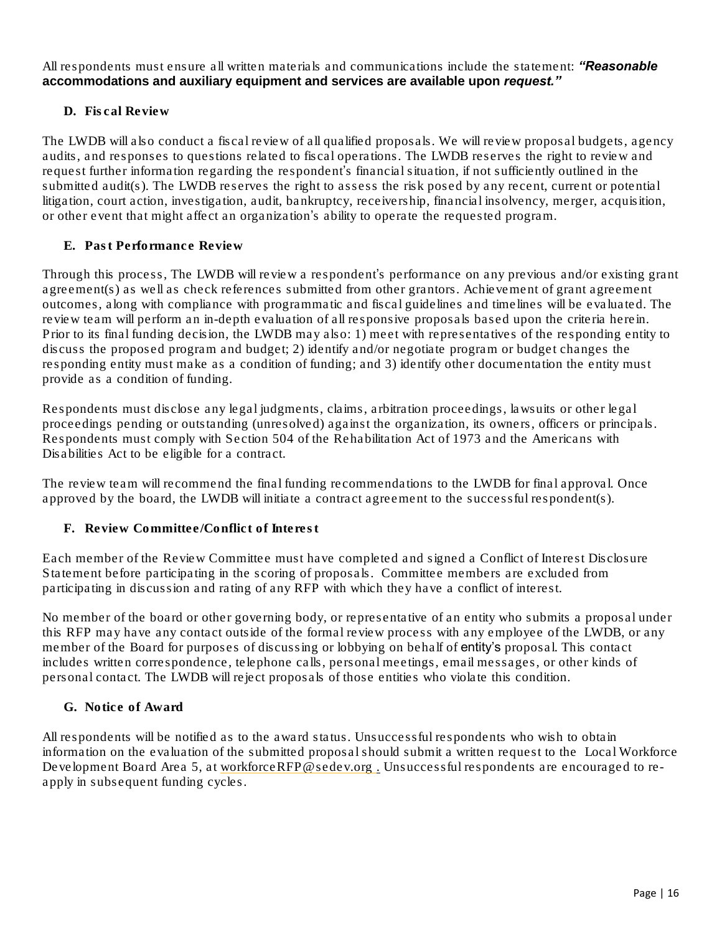All respondents must ensure all written materials and communications include the statement: *"Reasonable accommodations and auxiliary equipment and services are available upon request."*

# D. Fiscal Review

The LWDB will also conduct a fiscal review of all qualified proposals. We will review proposal budgets, agency audits, and responses to questions related to fiscal operations. The LWDB reserves the right to review and request further information regarding the respondent's financial situation, if not sufficiently outlined in the submitted audit(s). The LWDB reserves the right to assess the risk posed by any recent, current or potential litigation, court action, investigation, audit, bankruptcy, receivership, financial insolvency, merger, acquisition, or other event that might affect an organization's ability to operate the requested program.

### E. Past Performance Review

Through this process, The LWDB will review a respondent's performance on any previous and/or existing grant agreement(s) as well as check references submitted from other grantors. Achievement of grant agreement outcomes, along with compliance with programmatic and fiscal guidelines and timelines will be evaluated. The review team will perform an in-depth evaluation of all responsive proposals based upon the criteria herein. Prior to its final funding decision, the LWDB may also: 1) meet with representatives of the responding entity to discuss the proposed program and budget; 2) identify and/or negotiate program or budget changes the responding entity must make as a condition of funding; and 3) identify other documentation the entity must provide as a condition of funding.

Respondents must disclose any legal judgments, claims, arbitration proceedings, lawsuits or other legal proceedings pending or outstanding (unresolved) against the organization, its owners, officers or principals. Respondents must comply with Section 504 of the Rehabilitation Act of 1973 and the Americans with Disabilities Act to be eligible for a contract.

The review team will recommend the final funding recommendations to the LWDB for final approval. Once approved by the board, the LWDB will initiate a contract agreement to the successful respondent(s).

F. Review Committee/Conflict of Interest

Each member of the Review Committee must have completed and signed a Conflict of Interest Disclosure Statement before participating in the scoring of proposals. Committee members are excluded from participating in discussion and rating of any RFP with which they have a conflict of interest.

No member of the board or other governing body, or representative of an entity who submits a proposal under this RFP may have any contact outside of the formal review process with any employee of the LWDB, or any member of the Board for purposes of discussing or lobbying on behalf of entity's proposal. This contact includes written correspondence, telephone calls, personal meetings, email messages, or other kinds of personal contact. The LWDB will reject proposals of those entities who violate this condition.

G. Notice of Award

All respondents will be notified as to the award status. Unsuccessful respondents who wish to obtain information on the evaluation of the submitted proposal should submit a written request to the Local Workforce Development Board Area 5, at [workforceRFP@sedev.org](mailto:scowden@sedev.org) . Unsuccessful respondents are encouraged to reapply in subsequent funding cycles.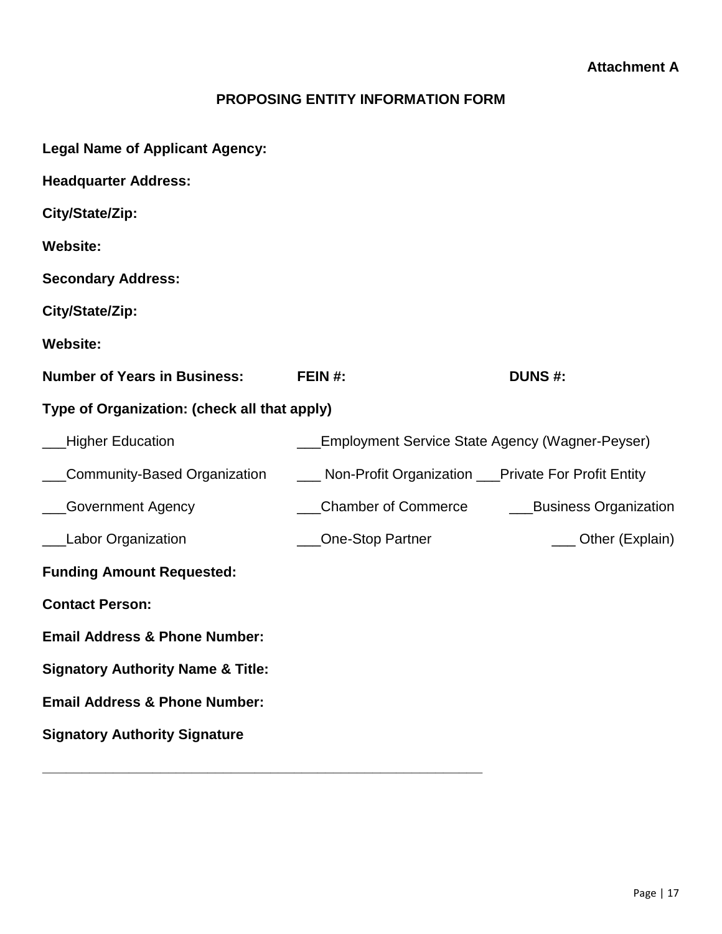# **PROPOSING ENTITY INFORMATION FORM**

| <b>Legal Name of Applicant Agency:</b>       |                                                          |                       |  |  |  |
|----------------------------------------------|----------------------------------------------------------|-----------------------|--|--|--|
| <b>Headquarter Address:</b>                  |                                                          |                       |  |  |  |
| City/State/Zip:                              |                                                          |                       |  |  |  |
| <b>Website:</b>                              |                                                          |                       |  |  |  |
| <b>Secondary Address:</b>                    |                                                          |                       |  |  |  |
| City/State/Zip:                              |                                                          |                       |  |  |  |
| <b>Website:</b>                              |                                                          |                       |  |  |  |
| <b>Number of Years in Business:</b>          | FEIN #:                                                  | <b>DUNS #:</b>        |  |  |  |
| Type of Organization: (check all that apply) |                                                          |                       |  |  |  |
| Higher Education                             | <b>Employment Service State Agency (Wagner-Peyser)</b>   |                       |  |  |  |
| Community-Based Organization                 | ___ Non-Profit Organization ___Private For Profit Entity |                       |  |  |  |
| Government Agency                            | Chamber of Commerce                                      | Business Organization |  |  |  |
| <b>Labor Organization</b>                    | <b>One-Stop Partner</b>                                  | __ Other (Explain)    |  |  |  |
| <b>Funding Amount Requested:</b>             |                                                          |                       |  |  |  |
| <b>Contact Person:</b>                       |                                                          |                       |  |  |  |
| <b>Email Address &amp; Phone Number:</b>     |                                                          |                       |  |  |  |
| <b>Signatory Authority Name &amp; Title:</b> |                                                          |                       |  |  |  |
| <b>Email Address &amp; Phone Number:</b>     |                                                          |                       |  |  |  |
| <b>Signatory Authority Signature</b>         |                                                          |                       |  |  |  |
|                                              |                                                          |                       |  |  |  |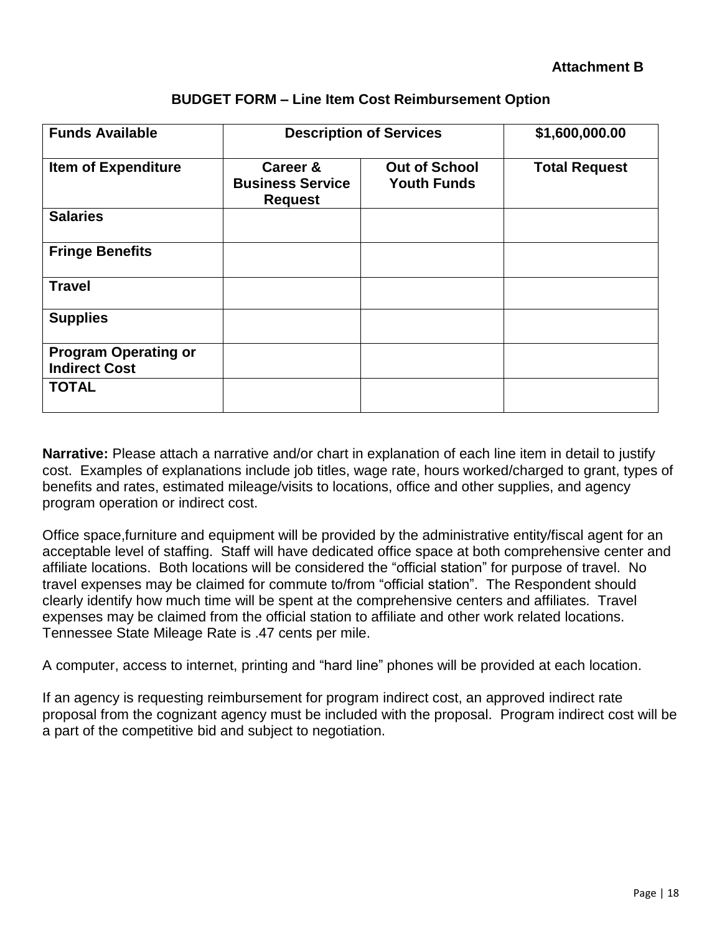| <b>Funds Available</b>                              | <b>Description of Services</b>                        |                                            | \$1,600,000.00       |
|-----------------------------------------------------|-------------------------------------------------------|--------------------------------------------|----------------------|
| <b>Item of Expenditure</b>                          | Career &<br><b>Business Service</b><br><b>Request</b> | <b>Out of School</b><br><b>Youth Funds</b> | <b>Total Request</b> |
| <b>Salaries</b>                                     |                                                       |                                            |                      |
| <b>Fringe Benefits</b>                              |                                                       |                                            |                      |
| <b>Travel</b>                                       |                                                       |                                            |                      |
| <b>Supplies</b>                                     |                                                       |                                            |                      |
| <b>Program Operating or</b><br><b>Indirect Cost</b> |                                                       |                                            |                      |
| <b>TOTAL</b>                                        |                                                       |                                            |                      |

# **BUDGET FORM – Line Item Cost Reimbursement Option**

**Narrative:** Please attach a narrative and/or chart in explanation of each line item in detail to justify cost. Examples of explanations include job titles, wage rate, hours worked/charged to grant, types of benefits and rates, estimated mileage/visits to locations, office and other supplies, and agency program operation or indirect cost.

Office space,furniture and equipment will be provided by the administrative entity/fiscal agent for an acceptable level of staffing. Staff will have dedicated office space at both comprehensive center and affiliate locations. Both locations will be considered the "official station" for purpose of travel. No travel expenses may be claimed for commute to/from "official station". The Respondent should clearly identify how much time will be spent at the comprehensive centers and affiliates. Travel expenses may be claimed from the official station to affiliate and other work related locations. Tennessee State Mileage Rate is .47 cents per mile.

A computer, access to internet, printing and "hard line" phones will be provided at each location.

If an agency is requesting reimbursement for program indirect cost, an approved indirect rate proposal from the cognizant agency must be included with the proposal. Program indirect cost will be a part of the competitive bid and subject to negotiation.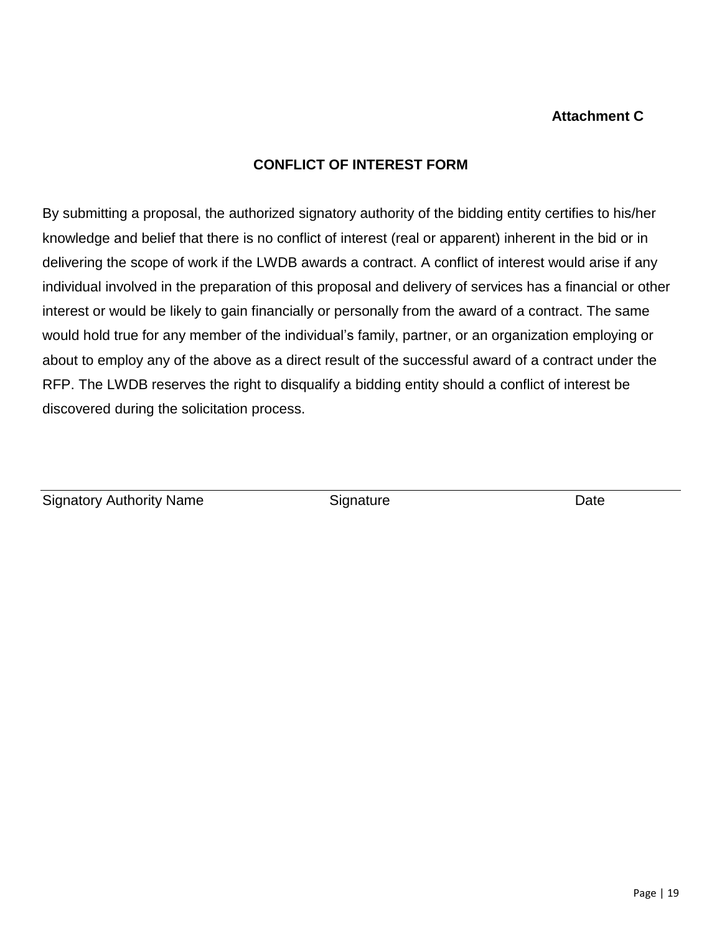# **Attachment C**

# **CONFLICT OF INTEREST FORM**

By submitting a proposal, the authorized signatory authority of the bidding entity certifies to his/her knowledge and belief that there is no conflict of interest (real or apparent) inherent in the bid or in delivering the scope of work if the LWDB awards a contract. A conflict of interest would arise if any individual involved in the preparation of this proposal and delivery of services has a financial or other interest or would be likely to gain financially or personally from the award of a contract. The same would hold true for any member of the individual's family, partner, or an organization employing or about to employ any of the above as a direct result of the successful award of a contract under the RFP. The LWDB reserves the right to disqualify a bidding entity should a conflict of interest be discovered during the solicitation process.

Signatory Authority Name Signature Signature Date